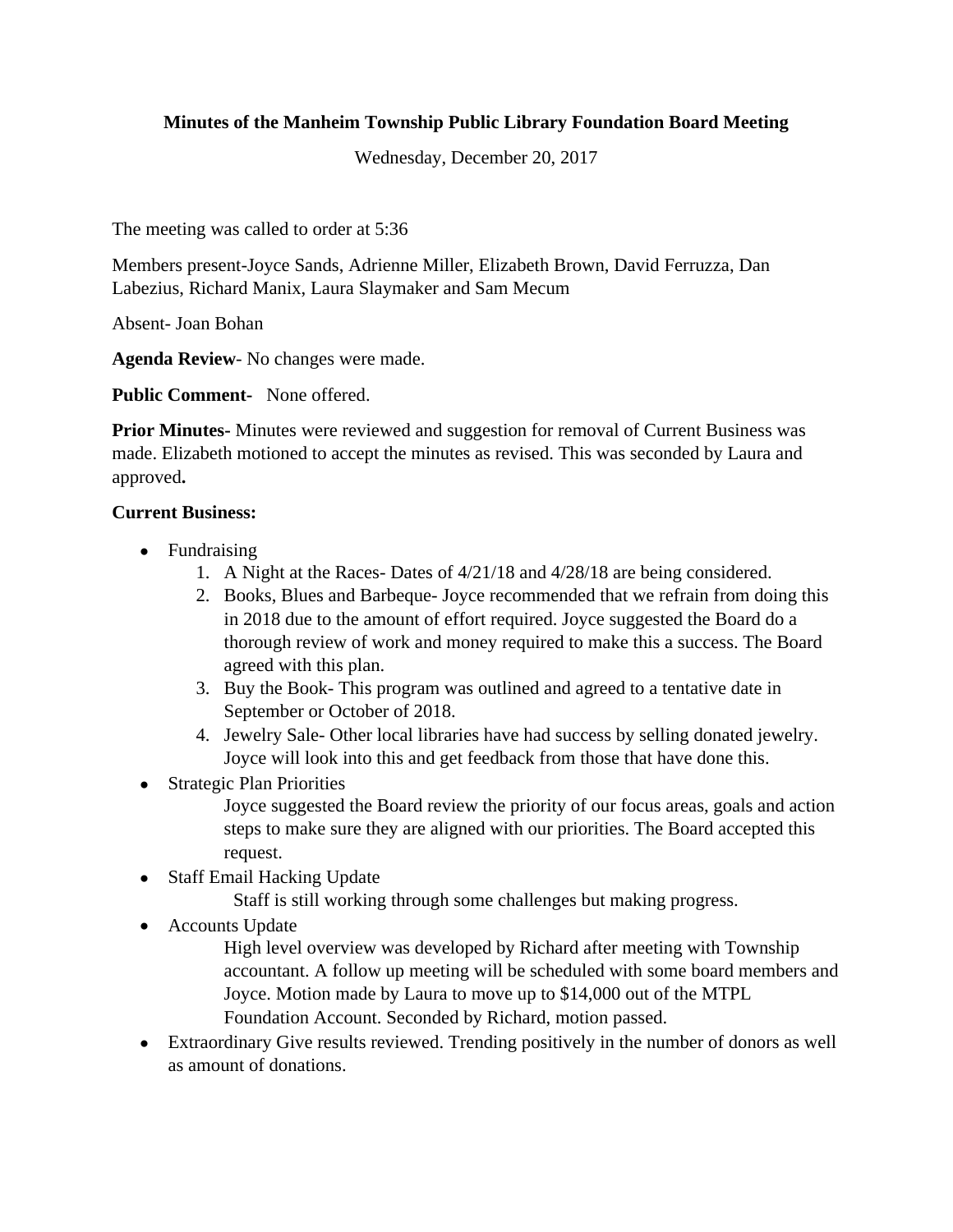## **Minutes of the Manheim Township Public Library Foundation Board Meeting**

Wednesday, December 20, 2017

The meeting was called to order at 5:36

Members present-Joyce Sands, Adrienne Miller, Elizabeth Brown, David Ferruzza, Dan Labezius, Richard Manix, Laura Slaymaker and Sam Mecum

Absent- Joan Bohan

**Agenda Review**- No changes were made.

**Public Comment-** None offered.

**Prior Minutes-** Minutes were reviewed and suggestion for removal of Current Business was made. Elizabeth motioned to accept the minutes as revised. This was seconded by Laura and approved**.**

#### **Current Business:**

- Fundraising
	- 1. A Night at the Races- Dates of 4/21/18 and 4/28/18 are being considered.
	- 2. Books, Blues and Barbeque- Joyce recommended that we refrain from doing this in 2018 due to the amount of effort required. Joyce suggested the Board do a thorough review of work and money required to make this a success. The Board agreed with this plan.
	- 3. Buy the Book- This program was outlined and agreed to a tentative date in September or October of 2018.
	- 4. Jewelry Sale- Other local libraries have had success by selling donated jewelry. Joyce will look into this and get feedback from those that have done this.
- Strategic Plan Priorities

Joyce suggested the Board review the priority of our focus areas, goals and action steps to make sure they are aligned with our priorities. The Board accepted this request.

- Staff Email Hacking Update
	- Staff is still working through some challenges but making progress.
- Accounts Update

High level overview was developed by Richard after meeting with Township accountant. A follow up meeting will be scheduled with some board members and Joyce. Motion made by Laura to move up to \$14,000 out of the MTPL Foundation Account. Seconded by Richard, motion passed.

 Extraordinary Give results reviewed. Trending positively in the number of donors as well as amount of donations.